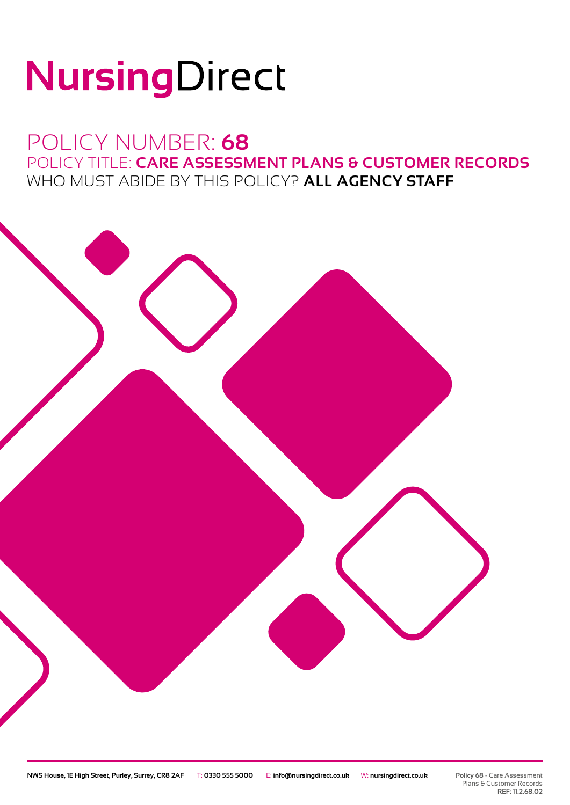# NursingDirect

## POLICY NUMBER: **68** POLICY TITLE: **CARE ASSESSMENT PLANS & CUSTOMER RECORDS** WHO MUST ABIDE BY THIS POLICY? **ALL AGENCY STAFF**